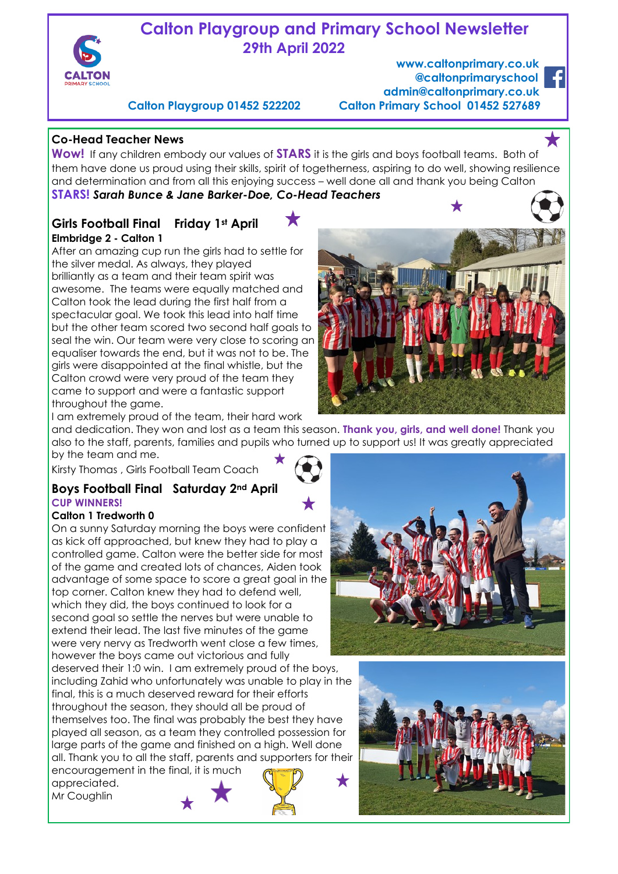

# **Calton Playgroup and Primary School Newsletter 29th April 2022**

 **www.caltonprimary.co.uk @caltonprimaryschool admin@caltonprimary.co.uk Calton Playgroup 01452 522202 Calton Primary School 01452 527689** 

## **Co-Head Teacher News**

**Wow!** If any children embody our values of **STARS** it is the girls and boys football teams. Both of them have done us proud using their skills, spirit of togetherness, aspiring to do well, showing resilience and determination and from all this enjoying success – well done all and thank you being Calton

**STARS!** *Sarah Bunce & Jane Barker-Doe, Co-Head Teachers* 

#### **Girls Football Final Friday 1st April Elmbridge 2 - Calton 1**

After an amazing cup run the girls had to settle for the silver medal. As always, they played brilliantly as a team and their team spirit was awesome. The teams were equally matched and Calton took the lead during the first half from a spectacular goal. We took this lead into half time but the other team scored two second half goals to seal the win. Our team were very close to scoring an equaliser towards the end, but it was not to be. The girls were disappointed at the final whistle, but the Calton crowd were very proud of the team they came to support and were a fantastic support throughout the game.



and dedication. They won and lost as a team this season. **Thank you, girls, and well done!** Thank you also to the staff, parents, families and pupils who turned up to support us! It was greatly appreciated by the team and me.

Kirsty Thomas , Girls Football Team Coach 

### **Boys Football Final Saturday 2nd April CUP WINNERS!**

#### **Calton 1 Tredworth 0**

On a sunny Saturday morning the boys were confident as kick off approached, but knew they had to play a controlled game. Calton were the better side for most of the game and created lots of chances, Aiden took advantage of some space to score a great goal in the top corner. Calton knew they had to defend well, which they did, the boys continued to look for a second goal so settle the nerves but were unable to extend their lead. The last five minutes of the game were very nervy as Tredworth went close a few times, however the boys came out victorious and fully deserved their 1:0 win. I am extremely proud of the boys, including Zahid who unfortunately was unable to play in the final, this is a much deserved reward for their efforts throughout the season, they should all be proud of themselves too. The final was probably the best they have played all season, as a team they controlled possession for large parts of the game and finished on a high. Well done all. Thank you to all the staff, parents and supporters for their

encouragement in the final, it is much appreciated. Mr Coughlin



★



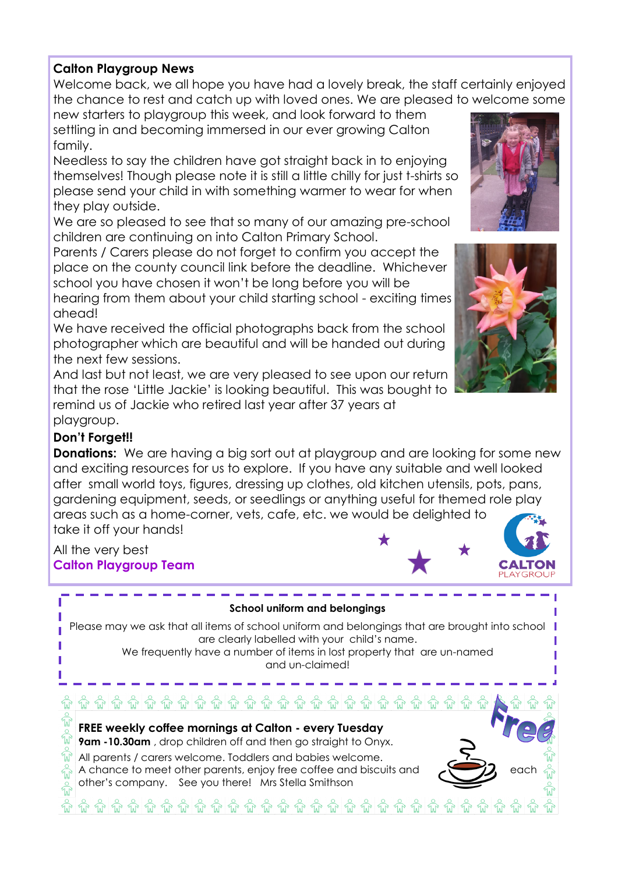### **Calton Playgroup News**

Welcome back, we all hope you have had a lovely break, the staff certainly enjoyed the chance to rest and catch up with loved ones. We are pleased to welcome some

new starters to playgroup this week, and look forward to them settling in and becoming immersed in our ever growing Calton family.

Needless to say the children have got straight back in to enjoying themselves! Though please note it is still a little chilly for just t-shirts so please send your child in with something warmer to wear for when they play outside.

We are so pleased to see that so many of our amazing pre-school children are continuing on into Calton Primary School.

Parents / Carers please do not forget to confirm you accept the place on the county council link before the deadline. Whichever school you have chosen it won't be long before you will be hearing from them about your child starting school - exciting times

ahead!

We have received the official photographs back from the school photographer which are beautiful and will be handed out during the next few sessions.

And last but not least, we are very pleased to see upon our return that the rose 'Little Jackie' is looking beautiful. This was bought to remind us of Jackie who retired last year after 37 years at playgroup.

# **Don't Forget!!**

**Donations:** We are having a big sort out at playaroup and are looking for some new and exciting resources for us to explore. If you have any suitable and well looked after small world toys, figures, dressing up clothes, old kitchen utensils, pots, pans, gardening equipment, seeds, or seedlings or anything useful for themed role play areas such as a home-corner, vets, cafe, etc. we would be delighted to take it off your hands!

### All the very best **Calton Playgroup Team**

#### **School uniform and belongings**

Please may we ask that all items of school uniform and belongings that are brought into school are clearly labelled with your child's name.

We frequently have a number of items in lost property that are un-named and un-claimed!







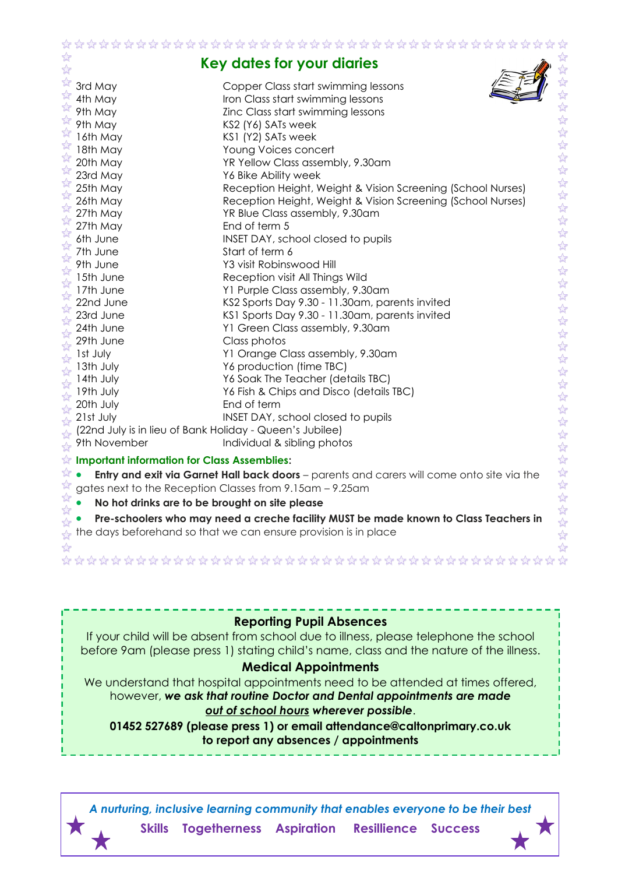|                               |                                                                                     | ***********************                                                                    |                                |
|-------------------------------|-------------------------------------------------------------------------------------|--------------------------------------------------------------------------------------------|--------------------------------|
|                               |                                                                                     | Key dates for your diaries                                                                 |                                |
|                               | 3rd May                                                                             | Copper Class start swimming lessons                                                        |                                |
| $\overrightarrow{\mathbf{x}}$ | 4th May                                                                             | Iron Class start swimming lessons                                                          |                                |
|                               | 9th May                                                                             | Zinc Class start swimming lessons                                                          |                                |
|                               | 9th May                                                                             | KS2 (Y6) SATs week                                                                         |                                |
|                               | 16th May                                                                            | KS1 (Y2) SATs week                                                                         | $\frac{1}{2}$                  |
|                               | 18th May                                                                            | Young Voices concert                                                                       |                                |
| ☆                             | 20th May                                                                            | YR Yellow Class assembly, 9.30am                                                           | $\frac{1}{2}$                  |
|                               | 23rd May                                                                            | Y6 Bike Ability week                                                                       |                                |
| $\sum_{k=1}^{N}$              | 25th May                                                                            | Reception Height, Weight & Vision Screening (School Nurses)                                |                                |
|                               | 26th May                                                                            | Reception Height, Weight & Vision Screening (School Nurses)                                |                                |
|                               | 27th May                                                                            | YR Blue Class assembly, 9.30am                                                             |                                |
|                               | 27th May                                                                            | End of term 5                                                                              |                                |
|                               | 6th June                                                                            | INSET DAY, school closed to pupils                                                         |                                |
|                               | 7th June                                                                            | Start of term 6                                                                            | 外外外外外外外外                       |
|                               | 9th June                                                                            | Y3 visit Robinswood Hill                                                                   |                                |
|                               | 15th June                                                                           | Reception visit All Things Wild                                                            | $\frac{1}{2}$                  |
| $\overrightarrow{\mathbf{z}}$ | 17th June                                                                           | Y1 Purple Class assembly, 9.30am                                                           | $\frac{1}{2}$                  |
|                               | 22nd June                                                                           | KS2 Sports Day 9.30 - 11.30am, parents invited                                             | $\frac{1}{2}$                  |
|                               | 23rd June                                                                           | KS1 Sports Day 9.30 - 11.30am, parents invited                                             | $\frac{1}{2}$                  |
|                               | 24th June                                                                           | Y1 Green Class assembly, 9.30am                                                            |                                |
|                               | 29th June                                                                           | Class photos                                                                               | 经外                             |
|                               | Ist July                                                                            | Y1 Orange Class assembly, 9.30am                                                           | $\frac{1}{2}$                  |
|                               | 13th July                                                                           | Y6 production (time TBC)                                                                   |                                |
| $\overrightarrow{\mathbf{z}}$ | 14th July                                                                           | Y6 Soak The Teacher (details TBC)                                                          | 外外外                            |
|                               | 19th July                                                                           | Y6 Fish & Chips and Disco (details TBC)<br>End of term                                     |                                |
| $\overrightarrow{\mathbf{z}}$ | 20th July<br>21st July                                                              |                                                                                            | 外外外                            |
|                               | (22nd July is in lieu of Bank Holiday - Queen's Jubilee)                            | INSET DAY, school closed to pupils                                                         |                                |
|                               | 9th November                                                                        | Individual & sibling photos                                                                |                                |
|                               |                                                                                     |                                                                                            | $\frac{1}{2}$                  |
|                               | $\overline{\mathcal{U}}$<br>☆<br><b>Important information for Class Assemblies:</b> |                                                                                            |                                |
| ৰ্ম                           |                                                                                     | Entry and exit via Garnet Hall back doors - parents and carers will come onto site via the | 经学                             |
|                               |                                                                                     | gates next to the Reception Classes from 9.15am - 9.25am                                   |                                |
| ☆                             | No hot drinks are to be brought on site please                                      |                                                                                            | 经公                             |
|                               |                                                                                     | Pre-schoolers who may need a creche facility MUST be made known to Class Teachers in       | $\overrightarrow{2}$           |
|                               |                                                                                     | the days beforehand so that we can ensure provision is in place                            | $\overrightarrow{\mathcal{U}}$ |
|                               |                                                                                     |                                                                                            |                                |

**Reporting Pupil Absences**

If your child will be absent from school due to illness, please telephone the school before 9am (please press 1) stating child's name, class and the nature of the illness.

#### **Medical Appointments**

We understand that hospital appointments need to be attended at times offered, however, *we ask that routine Doctor and Dental appointments are made out of school hours wherever possible*.

**01452 527689 (please press 1) or email attendance@caltonprimary.co.uk to report any absences / appointments**

*A nurturing, inclusive learning community that enables everyone to be their best* **Skills Togetherness Aspiration Resillience Success**